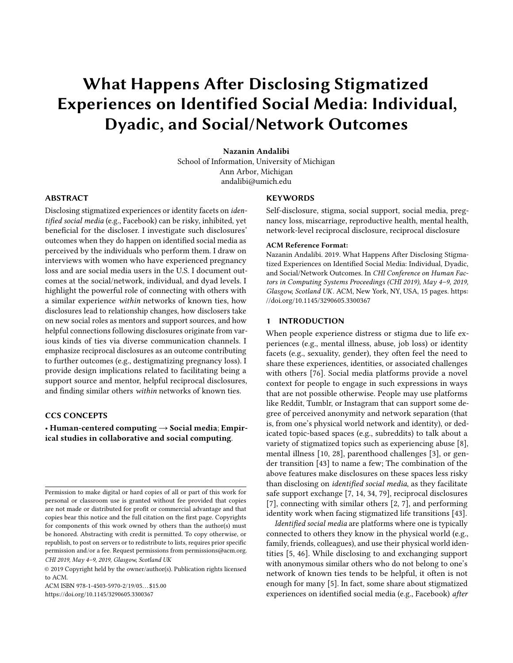# What Happens After Disclosing Stigmatized Experiences on Identified Social Media: Individual, Dyadic, and Social/Network Outcomes

Nazanin Andalibi

School of Information, University of Michigan Ann Arbor, Michigan andalibi@umich.edu

# ABSTRACT

Disclosing stigmatized experiences or identity facets on identified social media (e.g., Facebook) can be risky, inhibited, yet beneficial for the discloser. I investigate such disclosures' outcomes when they do happen on identified social media as perceived by the individuals who perform them. I draw on interviews with women who have experienced pregnancy loss and are social media users in the U.S. I document outcomes at the social/network, individual, and dyad levels. I highlight the powerful role of connecting with others with a similar experience within networks of known ties, how disclosures lead to relationship changes, how disclosers take on new social roles as mentors and support sources, and how helpful connections following disclosures originate from various kinds of ties via diverse communication channels. I emphasize reciprocal disclosures as an outcome contributing to further outcomes (e.g., destigmatizing pregnancy loss). I provide design implications related to facilitating being a support source and mentor, helpful reciprocal disclosures, and finding similar others within networks of known ties.

#### CCS CONCEPTS

• Human-centered computing  $\rightarrow$  Social media; Empirical studies in collaborative and social computing.

ACM ISBN 978-1-4503-5970-2/19/05. . . \$15.00 <https://doi.org/10.1145/3290605.3300367>

## **KEYWORDS**

Self-disclosure, stigma, social support, social media, pregnancy loss, miscarriage, reproductive health, mental health, network-level reciprocal disclosure, reciprocal disclosure

#### ACM Reference Format:

Nazanin Andalibi. 2019. What Happens After Disclosing Stigmatized Experiences on Identified Social Media: Individual, Dyadic, and Social/Network Outcomes. In CHI Conference on Human Factors in Computing Systems Proceedings (CHI 2019), May 4–9, 2019, Glasgow, Scotland UK. ACM, New York, NY, USA, [15](#page-14-0) pages. [https:](https://doi.org/10.1145/3290605.3300367) [//doi.org/10.1145/3290605.3300367](https://doi.org/10.1145/3290605.3300367)

# 1 INTRODUCTION

When people experience distress or stigma due to life experiences (e.g., mental illness, abuse, job loss) or identity facets (e.g., sexuality, gender), they often feel the need to share these experiences, identities, or associated challenges with others [\[76\]](#page-14-1). Social media platforms provide a novel context for people to engage in such expressions in ways that are not possible otherwise. People may use platforms like Reddit, Tumblr, or Instagram that can support some degree of perceived anonymity and network separation (that is, from one's physical world network and identity), or dedicated topic-based spaces (e.g., subreddits) to talk about a variety of stigmatized topics such as experiencing abuse [\[8\]](#page-12-0), mental illness [\[10,](#page-12-1) [28\]](#page-12-2), parenthood challenges [\[3\]](#page-12-3), or gender transition [\[43\]](#page-13-0) to name a few; The combination of the above features make disclosures on these spaces less risky than disclosing on identified social media, as they facilitate safe support exchange [\[7,](#page-12-4) [14,](#page-12-5) [34,](#page-12-6) [79\]](#page-14-2), reciprocal disclosures [\[7\]](#page-12-4), connecting with similar others [\[2,](#page-11-0) [7\]](#page-12-4), and performing identity work when facing stigmatized life transitions [\[43\]](#page-13-0).

Identified social media are platforms where one is typically connected to others they know in the physical world (e.g., family, friends, colleagues), and use their physical world identities [\[5,](#page-12-7) [46\]](#page-13-1). While disclosing to and exchanging support with anonymous similar others who do not belong to one's network of known ties tends to be helpful, it often is not enough for many [\[5\]](#page-12-7). In fact, some share about stigmatized experiences on identified social media (e.g., Facebook) after

Permission to make digital or hard copies of all or part of this work for personal or classroom use is granted without fee provided that copies are not made or distributed for profit or commercial advantage and that copies bear this notice and the full citation on the first page. Copyrights for components of this work owned by others than the author(s) must be honored. Abstracting with credit is permitted. To copy otherwise, or republish, to post on servers or to redistribute to lists, requires prior specific permission and/or a fee. Request permissions from permissions@acm.org. CHI 2019, May 4–9, 2019, Glasgow, Scotland UK

<sup>©</sup> 2019 Copyright held by the owner/author(s). Publication rights licensed to ACM.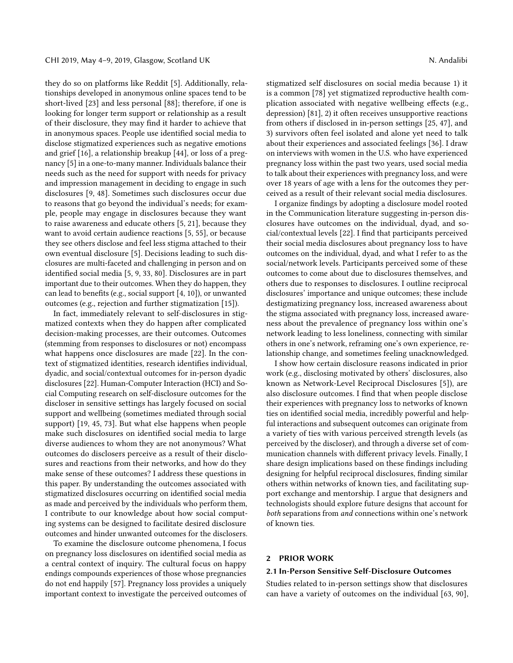they do so on platforms like Reddit [\[5\]](#page-12-7). Additionally, relationships developed in anonymous online spaces tend to be short-lived [\[23\]](#page-12-8) and less personal [\[88\]](#page-14-3); therefore, if one is looking for longer term support or relationship as a result of their disclosure, they may find it harder to achieve that in anonymous spaces. People use identified social media to disclose stigmatized experiences such as negative emotions and grief [\[16\]](#page-12-9), a relationship breakup [\[44\]](#page-13-2), or loss of a pregnancy [\[5\]](#page-12-7) in a one-to-many manner. Individuals balance their needs such as the need for support with needs for privacy and impression management in deciding to engage in such disclosures [\[9,](#page-12-10) [48\]](#page-13-3). Sometimes such disclosures occur due to reasons that go beyond the individual's needs; for example, people may engage in disclosures because they want to raise awareness and educate others [\[5,](#page-12-7) [21\]](#page-12-11), because they want to avoid certain audience reactions [\[5,](#page-12-7) [55\]](#page-13-4), or because they see others disclose and feel less stigma attached to their own eventual disclosure [\[5\]](#page-12-7). Decisions leading to such disclosures are multi-faceted and challenging in person and on identified social media [\[5,](#page-12-7) [9,](#page-12-10) [33,](#page-12-12) [80\]](#page-14-4). Disclosures are in part important due to their outcomes. When they do happen, they can lead to benefits (e.g., social support [\[4,](#page-12-13) [10\]](#page-12-1)), or unwanted outcomes (e.g., rejection and further stigmatization [\[15\]](#page-12-14)).

In fact, immediately relevant to self-disclosures in stigmatized contexts when they do happen after complicated decision-making processes, are their outcomes. Outcomes (stemming from responses to disclosures or not) encompass what happens once disclosures are made [\[22\]](#page-12-15). In the context of stigmatized identities, research identifies individual, dyadic, and social/contextual outcomes for in-person dyadic disclosures [\[22\]](#page-12-15). Human-Computer Interaction (HCI) and Social Computing research on self-disclosure outcomes for the discloser in sensitive settings has largely focused on social support and wellbeing (sometimes mediated through social support) [\[19,](#page-12-16) [45,](#page-13-5) [73\]](#page-14-5). But what else happens when people make such disclosures on identified social media to large diverse audiences to whom they are not anonymous? What outcomes do disclosers perceive as a result of their disclosures and reactions from their networks, and how do they make sense of these outcomes? I address these questions in this paper. By understanding the outcomes associated with stigmatized disclosures occurring on identified social media as made and perceived by the individuals who perform them, I contribute to our knowledge about how social computing systems can be designed to facilitate desired disclosure outcomes and hinder unwanted outcomes for the disclosers.

To examine the disclosure outcome phenomena, I focus on pregnancy loss disclosures on identified social media as a central context of inquiry. The cultural focus on happy endings compounds experiences of those whose pregnancies do not end happily [\[57\]](#page-13-6). Pregnancy loss provides a uniquely important context to investigate the perceived outcomes of

stigmatized self disclosures on social media because 1) it is a common [\[78\]](#page-14-6) yet stigmatized reproductive health complication associated with negative wellbeing effects (e.g., depression) [\[81\]](#page-14-7), 2) it often receives unsupportive reactions from others if disclosed in in-person settings [\[25,](#page-12-17) [47\]](#page-13-7), and 3) survivors often feel isolated and alone yet need to talk about their experiences and associated feelings [\[36\]](#page-13-8). I draw on interviews with women in the U.S. who have experienced pregnancy loss within the past two years, used social media to talk about their experiences with pregnancy loss, and were over 18 years of age with a lens for the outcomes they perceived as a result of their relevant social media disclosures.

I organize findings by adopting a disclosure model rooted in the Communication literature suggesting in-person disclosures have outcomes on the individual, dyad, and social/contextual levels [\[22\]](#page-12-15). I find that participants perceived their social media disclosures about pregnancy loss to have outcomes on the individual, dyad, and what I refer to as the social/network levels. Participants perceived some of these outcomes to come about due to disclosures themselves, and others due to responses to disclosures. I outline reciprocal disclosures' importance and unique outcomes; these include destigmatizing pregnancy loss, increased awareness about the stigma associated with pregnancy loss, increased awareness about the prevalence of pregnancy loss within one's network leading to less loneliness, connecting with similar others in one's network, reframing one's own experience, relationship change, and sometimes feeling unacknowledged.

I show how certain disclosure reasons indicated in prior work (e.g., disclosing motivated by others' disclosures, also known as Network-Level Reciprocal Disclosures [\[5\]](#page-12-7)), are also disclosure outcomes. I find that when people disclose their experiences with pregnancy loss to networks of known ties on identified social media, incredibly powerful and helpful interactions and subsequent outcomes can originate from a variety of ties with various perceived strength levels (as perceived by the discloser), and through a diverse set of communication channels with different privacy levels. Finally, I share design implications based on these findings including designing for helpful reciprocal disclosures, finding similar others within networks of known ties, and facilitating support exchange and mentorship. I argue that designers and technologists should explore future designs that account for both separations from and connections within one's network of known ties.

# 2 PRIOR WORK

# 2.1 In-Person Sensitive Self-Disclosure Outcomes

Studies related to in-person settings show that disclosures can have a variety of outcomes on the individual [\[63,](#page-13-9) [90\]](#page-14-8),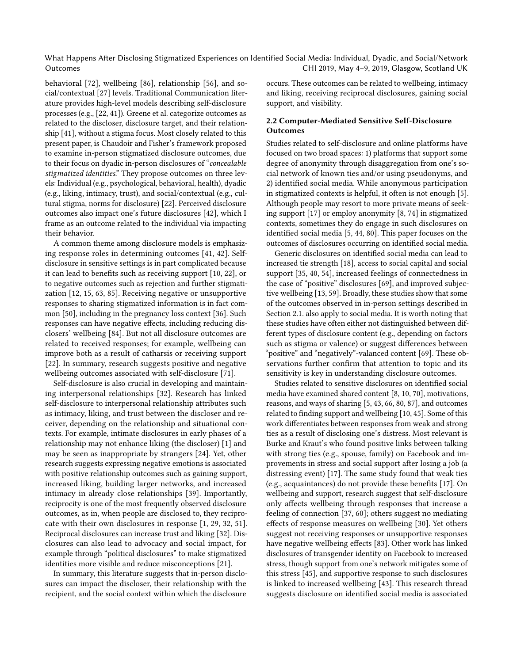behavioral [\[72\]](#page-14-9), wellbeing [\[86\]](#page-14-10), relationship [\[56\]](#page-13-10), and social/contextual [\[27\]](#page-12-18) levels. Traditional Communication literature provides high-level models describing self-disclosure processes (e.g., [\[22,](#page-12-15) [41\]](#page-13-11)). Greene et al. categorize outcomes as related to the discloser, disclosure target, and their relationship [\[41\]](#page-13-11), without a stigma focus. Most closely related to this present paper, is Chaudoir and Fisher's framework proposed to examine in-person stigmatized disclosure outcomes, due to their focus on dyadic in-person disclosures of "concealable stigmatized identities." They propose outcomes on three levels: Individual (e.g., psychological, behavioral, health), dyadic (e.g., liking, intimacy, trust), and social/contextual (e.g., cultural stigma, norms for disclosure) [\[22\]](#page-12-15). Perceived disclosure outcomes also impact one's future disclosures [\[42\]](#page-13-12), which I frame as an outcome related to the individual via impacting their behavior.

A common theme among disclosure models is emphasizing response roles in determining outcomes [\[41,](#page-13-11) [42\]](#page-13-12). Selfdisclosure in sensitive settings is in part complicated because it can lead to benefits such as receiving support [\[10,](#page-12-1) [22\]](#page-12-15), or to negative outcomes such as rejection and further stigmatization [\[12,](#page-12-19) [15,](#page-12-14) [63,](#page-13-9) [85\]](#page-14-11). Receiving negative or unsupportive responses to sharing stigmatized information is in fact common [\[50\]](#page-13-13), including in the pregnancy loss context [\[36\]](#page-13-8). Such responses can have negative effects, including reducing disclosers' wellbeing [\[84\]](#page-14-12). But not all disclosure outcomes are related to received responses; for example, wellbeing can improve both as a result of catharsis or receiving support [\[22\]](#page-12-15). In summary, research suggests positive and negative wellbeing outcomes associated with self-disclosure [\[71\]](#page-14-13).

Self-disclosure is also crucial in developing and maintaining interpersonal relationships [\[32\]](#page-12-20). Research has linked self-disclosure to interpersonal relationship attributes such as intimacy, liking, and trust between the discloser and receiver, depending on the relationship and situational contexts. For example, intimate disclosures in early phases of a relationship may not enhance liking (the discloser) [\[1\]](#page-11-1) and may be seen as inappropriate by strangers [\[24\]](#page-12-21). Yet, other research suggests expressing negative emotions is associated with positive relationship outcomes such as gaining support, increased liking, building larger networks, and increased intimacy in already close relationships [\[39\]](#page-13-14). Importantly, reciprocity is one of the most frequently observed disclosure outcomes, as in, when people are disclosed to, they reciprocate with their own disclosures in response [\[1,](#page-11-1) [29,](#page-12-22) [32,](#page-12-20) [51\]](#page-13-15). Reciprocal disclosures can increase trust and liking [\[32\]](#page-12-20). Disclosures can also lead to advocacy and social impact, for example through "political disclosures" to make stigmatized identities more visible and reduce misconceptions [\[21\]](#page-12-11).

In summary, this literature suggests that in-person disclosures can impact the discloser, their relationship with the recipient, and the social context within which the disclosure

occurs. These outcomes can be related to wellbeing, intimacy and liking, receiving reciprocal disclosures, gaining social support, and visibility.

# 2.2 Computer-Mediated Sensitive Self-Disclosure **Outcomes**

Studies related to self-disclosure and online platforms have focused on two broad spaces: 1) platforms that support some degree of anonymity through disaggregation from one's social network of known ties and/or using pseudonyms, and 2) identified social media. While anonymous participation in stigmatized contexts is helpful, it often is not enough [\[5\]](#page-12-7). Although people may resort to more private means of seeking support [\[17\]](#page-12-23) or employ anonymity [\[8,](#page-12-0) [74\]](#page-14-14) in stigmatized contexts, sometimes they do engage in such disclosures on identified social media [\[5,](#page-12-7) [44,](#page-13-2) [80\]](#page-14-4). This paper focuses on the outcomes of disclosures occurring on identified social media.

Generic disclosures on identified social media can lead to increased tie strength [\[18\]](#page-12-24), access to social capital and social support [\[35,](#page-13-16) [40,](#page-13-17) [54\]](#page-13-18), increased feelings of connectedness in the case of "positive" disclosures [\[69\]](#page-13-19), and improved subjective wellbeing [\[13,](#page-12-25) [59\]](#page-13-20). Broadly, these studies show that some of the outcomes observed in in-person settings described in Section 2.1. also apply to social media. It is worth noting that these studies have often either not distinguished between different types of disclosure content (e.g., depending on factors such as stigma or valence) or suggest differences between "positive" and "negatively"-valanced content [\[69\]](#page-13-19). These observations further confirm that attention to topic and its sensitivity is key in understanding disclosure outcomes.

Studies related to sensitive disclosures on identified social media have examined shared content [\[8,](#page-12-0) [10,](#page-12-1) [70\]](#page-14-15), motivations, reasons, and ways of sharing [\[5,](#page-12-7) [43,](#page-13-0) [66,](#page-13-21) [80,](#page-14-4) [87\]](#page-14-16), and outcomes related to finding support and wellbeing [\[10,](#page-12-1) [45\]](#page-13-5). Some of this work differentiates between responses from weak and strong ties as a result of disclosing one's distress. Most relevant is Burke and Kraut's who found positive links between talking with strong ties (e.g., spouse, family) on Facebook and improvements in stress and social support after losing a job (a distressing event) [\[17\]](#page-12-23). The same study found that weak ties (e.g., acquaintances) do not provide these benefits [\[17\]](#page-12-23). On wellbeing and support, research suggest that self-disclosure only affects wellbeing through responses that increase a feeling of connection [\[37,](#page-13-22) [60\]](#page-13-23); others suggest no mediating effects of response measures on wellbeing [\[30\]](#page-12-26). Yet others suggest not receiving responses or unsupportive responses have negative wellbeing effects [\[83\]](#page-14-17). Other work has linked disclosures of transgender identity on Facebook to increased stress, though support from one's network mitigates some of this stress [\[45\]](#page-13-5), and supportive response to such disclosures is linked to increased wellbeing [\[43\]](#page-13-0). This research thread suggests disclosure on identified social media is associated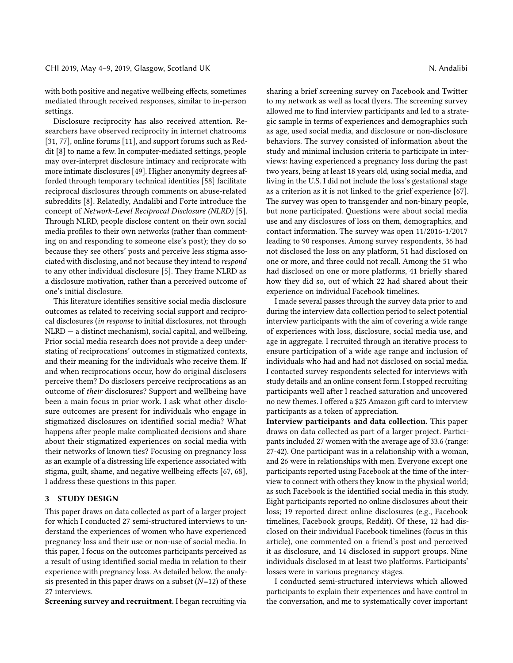with both positive and negative wellbeing effects, sometimes mediated through received responses, similar to in-person settings.

Disclosure reciprocity has also received attention. Researchers have observed reciprocity in internet chatrooms [\[31,](#page-12-27) [77\]](#page-14-18), online forums [\[11\]](#page-12-28), and support forums such as Reddit [\[8\]](#page-12-0) to name a few. In computer-mediated settings, people may over-interpret disclosure intimacy and reciprocate with more intimate disclosures [\[49\]](#page-13-24). Higher anonymity degrees afforded through temporary technical identities [\[58\]](#page-13-25) facilitate reciprocal disclosures through comments on abuse-related subreddits [\[8\]](#page-12-0). Relatedly, Andalibi and Forte introduce the concept of Network-Level Reciprocal Disclosure (NLRD) [\[5\]](#page-12-7). Through NLRD, people disclose content on their own social media profiles to their own networks (rather than commenting on and responding to someone else's post); they do so because they see others' posts and perceive less stigma associated with disclosing, and not because they intend to respond to any other individual disclosure [\[5\]](#page-12-7). They frame NLRD as a disclosure motivation, rather than a perceived outcome of one's initial disclosure.

This literature identifies sensitive social media disclosure outcomes as related to receiving social support and reciprocal disclosures (in response to initial disclosures, not through NLRD — a distinct mechanism), social capital, and wellbeing. Prior social media research does not provide a deep understating of reciprocations' outcomes in stigmatized contexts, and their meaning for the individuals who receive them. If and when reciprocations occur, how do original disclosers perceive them? Do disclosers perceive reciprocations as an outcome of their disclosures? Support and wellbeing have been a main focus in prior work. I ask what other disclosure outcomes are present for individuals who engage in stigmatized disclosures on identified social media? What happens after people make complicated decisions and share about their stigmatized experiences on social media with their networks of known ties? Focusing on pregnancy loss as an example of a distressing life experience associated with stigma, guilt, shame, and negative wellbeing effects [\[67,](#page-13-26) [68\]](#page-13-27), I address these questions in this paper.

#### 3 STUDY DESIGN

This paper draws on data collected as part of a larger project for which I conducted 27 semi-structured interviews to understand the experiences of women who have experienced pregnancy loss and their use or non-use of social media. In this paper, I focus on the outcomes participants perceived as a result of using identified social media in relation to their experience with pregnancy loss. As detailed below, the analysis presented in this paper draws on a subset  $(N=12)$  of these 27 interviews.

Screening survey and recruitment. I began recruiting via

sharing a brief screening survey on Facebook and Twitter to my network as well as local flyers. The screening survey allowed me to find interview participants and led to a strategic sample in terms of experiences and demographics such as age, used social media, and disclosure or non-disclosure behaviors. The survey consisted of information about the study and minimal inclusion criteria to participate in interviews: having experienced a pregnancy loss during the past two years, being at least 18 years old, using social media, and living in the U.S. I did not include the loss's gestational stage as a criterion as it is not linked to the grief experience [\[67\]](#page-13-26). The survey was open to transgender and non-binary people, but none participated. Questions were about social media use and any disclosures of loss on them, demographics, and contact information. The survey was open 11/2016-1/2017 leading to 90 responses. Among survey respondents, 36 had not disclosed the loss on any platform, 51 had disclosed on one or more, and three could not recall. Among the 51 who had disclosed on one or more platforms, 41 briefly shared how they did so, out of which 22 had shared about their experience on individual Facebook timelines.

I made several passes through the survey data prior to and during the interview data collection period to select potential interview participants with the aim of covering a wide range of experiences with loss, disclosure, social media use, and age in aggregate. I recruited through an iterative process to ensure participation of a wide age range and inclusion of individuals who had and had not disclosed on social media. I contacted survey respondents selected for interviews with study details and an online consent form. I stopped recruiting participants well after I reached saturation and uncovered no new themes. I offered a \$25 Amazon gift card to interview participants as a token of appreciation.

Interview participants and data collection. This paper draws on data collected as part of a larger project. Participants included 27 women with the average age of 33.6 (range: 27-42). One participant was in a relationship with a woman, and 26 were in relationships with men. Everyone except one participants reported using Facebook at the time of the interview to connect with others they know in the physical world; as such Facebook is the identified social media in this study. Eight participants reported no online disclosures about their loss; 19 reported direct online disclosures (e.g., Facebook timelines, Facebook groups, Reddit). Of these, 12 had disclosed on their individual Facebook timelines (focus in this article), one commented on a friend's post and perceived it as disclosure, and 14 disclosed in support groups. Nine individuals disclosed in at least two platforms. Participants' losses were in various pregnancy stages.

I conducted semi-structured interviews which allowed participants to explain their experiences and have control in the conversation, and me to systematically cover important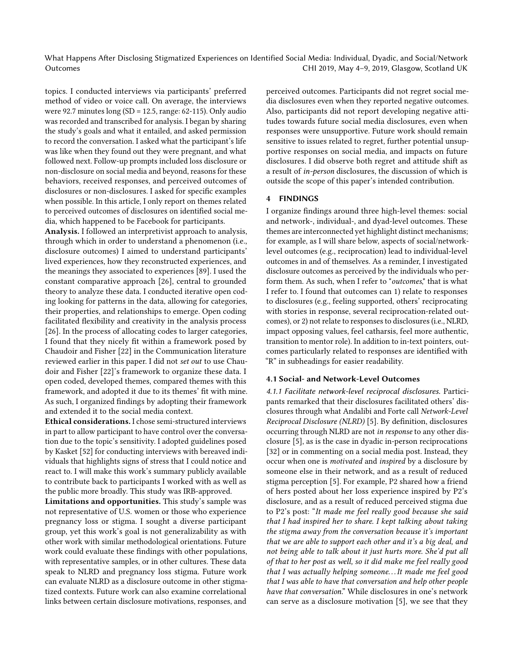topics. I conducted interviews via participants' preferred method of video or voice call. On average, the interviews were 92.7 minutes long (SD = 12.5, range: 62-115). Only audio was recorded and transcribed for analysis. I began by sharing the study's goals and what it entailed, and asked permission to record the conversation. I asked what the participant's life was like when they found out they were pregnant, and what followed next. Follow-up prompts included loss disclosure or non-disclosure on social media and beyond, reasons for these behaviors, received responses, and perceived outcomes of disclosures or non-disclosures. I asked for specific examples when possible. In this article, I only report on themes related to perceived outcomes of disclosures on identified social media, which happened to be Facebook for participants.

Analysis. I followed an interpretivist approach to analysis, through which in order to understand a phenomenon (i.e., disclosure outcomes) I aimed to understand participants' lived experiences, how they reconstructed experiences, and the meanings they associated to experiences [\[89\]](#page-14-19). I used the constant comparative approach [\[26\]](#page-12-29), central to grounded theory to analyze these data. I conducted iterative open coding looking for patterns in the data, allowing for categories, their properties, and relationships to emerge. Open coding facilitated flexibility and creativity in the analysis process [\[26\]](#page-12-29). In the process of allocating codes to larger categories, I found that they nicely fit within a framework posed by Chaudoir and Fisher [\[22\]](#page-12-15) in the Communication literature reviewed earlier in this paper. I did not set out to use Chaudoir and Fisher [\[22\]](#page-12-15)'s framework to organize these data. I open coded, developed themes, compared themes with this framework, and adopted it due to its themes' fit with mine. As such, I organized findings by adopting their framework and extended it to the social media context.

Ethical considerations. I chose semi-structured interviews in part to allow participant to have control over the conversation due to the topic's sensitivity. I adopted guidelines posed by Kasket [\[52\]](#page-13-28) for conducting interviews with bereaved individuals that highlights signs of stress that I could notice and react to. I will make this work's summary publicly available to contribute back to participants I worked with as well as the public more broadly. This study was IRB-approved.

Limitations and opportunities. This study's sample was not representative of U.S. women or those who experience pregnancy loss or stigma. I sought a diverse participant group, yet this work's goal is not generalizability as with other work with similar methodological orientations. Future work could evaluate these findings with other populations, with representative samples, or in other cultures. These data speak to NLRD and pregnancy loss stigma. Future work can evaluate NLRD as a disclosure outcome in other stigmatized contexts. Future work can also examine correlational links between certain disclosure motivations, responses, and

perceived outcomes. Participants did not regret social media disclosures even when they reported negative outcomes. Also, participants did not report developing negative attitudes towards future social media disclosures, even when responses were unsupportive. Future work should remain sensitive to issues related to regret, further potential unsupportive responses on social media, and impacts on future disclosures. I did observe both regret and attitude shift as a result of in-person disclosures, the discussion of which is outside the scope of this paper's intended contribution.

# 4 FINDINGS

I organize findings around three high-level themes: social and network-, individual-, and dyad-level outcomes. These themes are interconnected yet highlight distinct mechanisms; for example, as I will share below, aspects of social/networklevel outcomes (e.g., reciprocation) lead to individual-level outcomes in and of themselves. As a reminder, I investigated disclosure outcomes as perceived by the individuals who perform them. As such, when I refer to "outcomes," that is what I refer to. I found that outcomes can 1) relate to responses to disclosures (e.g., feeling supported, others' reciprocating with stories in response, several reciprocation-related outcomes), or 2) not relate to responses to disclosures (i.e., NLRD, impact opposing values, feel catharsis, feel more authentic, transition to mentor role). In addition to in-text pointers, outcomes particularly related to responses are identified with "R" in subheadings for easier readability.

## 4.1 Social- and Network-Level Outcomes

4.1.1 Facilitate network-level reciprocal disclosures. Participants remarked that their disclosures facilitated others' disclosures through what Andalibi and Forte call Network-Level Reciprocal Disclosure (NLRD) [\[5\]](#page-12-7). By definition, disclosures occurring through NLRD are not in response to any other disclosure [\[5\]](#page-12-7), as is the case in dyadic in-person reciprocations [\[32\]](#page-12-20) or in commenting on a social media post. Instead, they occur when one is motivated and inspired by a disclosure by someone else in their network, and as a result of reduced stigma perception [\[5\]](#page-12-7). For example, P2 shared how a friend of hers posted about her loss experience inspired by P2's disclosure, and as a result of reduced perceived stigma due to P2's post: "It made me feel really good because she said that I had inspired her to share. I kept talking about taking the stigma away from the conversation because it's important that we are able to support each other and it's a big deal, and not being able to talk about it just hurts more. She'd put all of that to her post as well, so it did make me feel really good that I was actually helping someone. . .It made me feel good that I was able to have that conversation and help other people have that conversation." While disclosures in one's network can serve as a disclosure motivation [\[5\]](#page-12-7), we see that they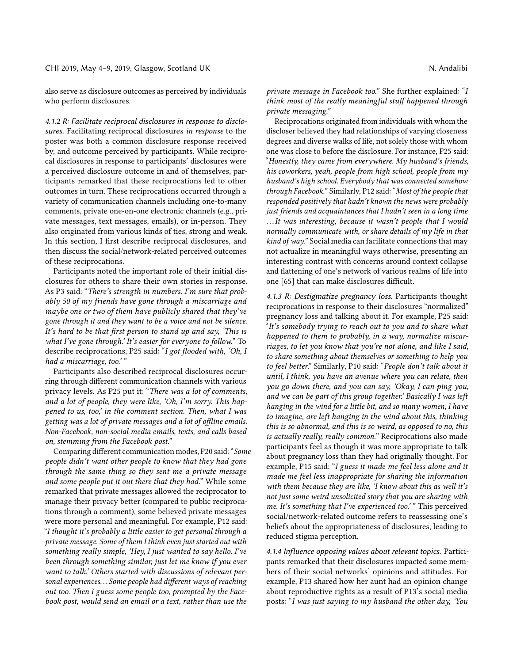also serve as disclosure outcomes as perceived by individuals who perform disclosures.

4.1.2 R: Facilitate reciprocal disclosures in response to disclosures. Facilitating reciprocal disclosures in response to the poster was both a common disclosure response received by, and outcome perceived by participants. While reciprocal disclosures in response to participants' disclosures were a perceived disclosure outcome in and of themselves, participants remarked that these reciprocations led to other outcomes in turn. These reciprocations occurred through a variety of communication channels including one-to-many comments, private one-on-one electronic channels (e.g., private messages, text messages, emails), or in-person. They also originated from various kinds of ties, strong and weak. In this section, I first describe reciprocal disclosures, and then discuss the social/network-related perceived outcomes of these reciprocations.

Participants noted the important role of their initial disclosures for others to share their own stories in response. As P3 said: "There's strength in numbers. I'm sure that probably 50 of my friends have gone through a miscarriage and maybe one or two of them have publicly shared that they've gone through it and they want to be a voice and not be silence. It's hard to be that first person to stand up and say, 'This is what I've gone through.' It's easier for everyone to follow." To describe reciprocations, P25 said: "I got flooded with, 'Oh, I had a miscarriage, too.'"

Participants also described reciprocal disclosures occurring through different communication channels with various privacy levels. As P25 put it: "There was a lot of comments, and a lot of people, they were like, 'Oh, I'm sorry. This happened to us, too,' in the comment section. Then, what I was getting was a lot of private messages and a lot of offline emails. Non-Facebook, non-social media emails, texts, and calls based on, stemming from the Facebook post."

Comparing different communication modes, P20 said: "Some people didn't want other people to know that they had gone through the same thing so they sent me a private message and some people put it out there that they had." While some remarked that private messages allowed the reciprocator to manage their privacy better (compared to public reciprocations through a comment), some believed private messages were more personal and meaningful. For example, P12 said: "I thought it's probably a little easier to get personal through a private message. Some of them I think even just started out with something really simple, 'Hey, I just wanted to say hello. I've been through something similar, just let me know if you ever want to talk.' Others started with discussions of relevant personal experiences. . . Some people had different ways of reaching out too. Then I guess some people too, prompted by the Facebook post, would send an email or a text, rather than use the

private message in Facebook too." She further explained: "I think most of the really meaningful stuff happened through private messaging."

Reciprocations originated from individuals with whom the discloser believed they had relationships of varying closeness degrees and diverse walks of life, not solely those with whom one was close to before the disclosure. For instance, P25 said: "Honestly, they came from everywhere. My husband's friends, his coworkers, yeah, people from high school, people from my husband's high school. Everybody that was connected somehow through Facebook." Similarly, P12 said: "Most of the people that responded positively that hadn't known the news were probably just friends and acquaintances that I hadn't seen in a long time . . .It was interesting, because it wasn't people that I would normally communicate with, or share details of my life in that kind of way." Social media can facilitate connections that may not actualize in meaningful ways otherwise, presenting an interesting contrast with concerns around context collapse and flattening of one's network of various realms of life into one [\[65\]](#page-13-29) that can make disclosures difficult.

4.1.3 R: Destigmatize pregnancy loss. Participants thought reciprocations in response to their disclosures "normalized" pregnancy loss and talking about it. For example, P25 said: "It's somebody trying to reach out to you and to share what happened to them to probably, in a way, normalize miscarriages, to let you know that you're not alone, and like I said, to share something about themselves or something to help you to feel better." Similarly, P10 said: "People don't talk about it until, I think, you have an avenue where you can relate, then you go down there, and you can say, 'Okay, I can ping you, and we can be part of this group together.' Basically I was left hanging in the wind for a little bit, and so many women, I have to imagine, are left hanging in the wind about this, thinking this is so abnormal, and this is so weird, as opposed to no, this is actually really, really common." Reciprocations also made participants feel as though it was more appropriate to talk about pregnancy loss than they had originally thought. For example, P15 said: "I guess it made me feel less alone and it made me feel less inappropriate for sharing the information with them because they are like, 'I know about this as well it's not just some weird unsolicited story that you are sharing with me. It's something that I've experienced too.' " This perceived social/network-related outcome refers to reassessing one's beliefs about the appropriateness of disclosures, leading to reduced stigma perception.

4.1.4 Influence opposing values about relevant topics. Participants remarked that their disclosures impacted some members of their social networks' opinions and attitudes. For example, P13 shared how her aunt had an opinion change about reproductive rights as a result of P13's social media posts: "I was just saying to my husband the other day, 'You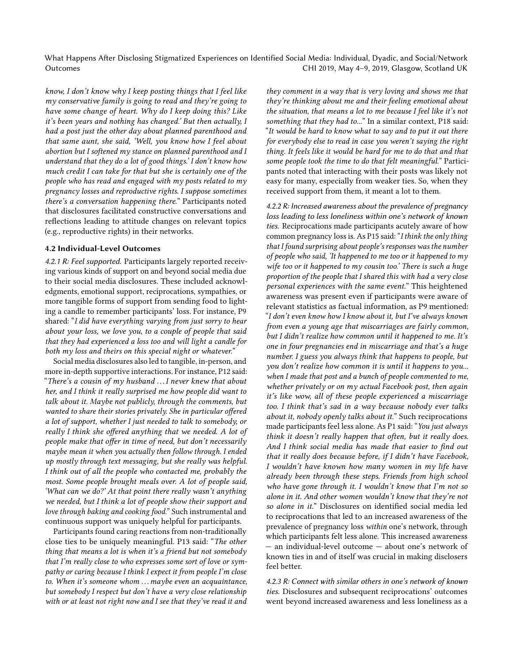know, I don't know why I keep posting things that I feel like my conservative family is going to read and they're going to have some change of heart. Why do I keep doing this? Like it's been years and nothing has changed.' But then actually, I had a post just the other day about planned parenthood and that same aunt, she said, 'Well, you know how I feel about abortion but I softened my stance on planned parenthood and I understand that they do a lot of good things.' I don't know how much credit I can take for that but she is certainly one of the people who has read and engaged with my posts related to my pregnancy losses and reproductive rights. I suppose sometimes there's a conversation happening there." Participants noted that disclosures facilitated constructive conversations and reflections leading to attitude changes on relevant topics (e.g., reproductive rights) in their networks.

## 4.2 Individual-Level Outcomes

4.2.1 R: Feel supported. Participants largely reported receiving various kinds of support on and beyond social media due to their social media disclosures. These included acknowledgments, emotional support, reciprocations, sympathies, or more tangible forms of support from sending food to lighting a candle to remember participants' loss. For instance, P9 shared: "I did have everything varying from just sorry to hear about your loss, we love you, to a couple of people that said that they had experienced a loss too and will light a candle for both my loss and theirs on this special night or whatever."

Social media disclosures also led to tangible, in-person, and more in-depth supportive interactions. For instance, P12 said: "There's a cousin of my husband . . .I never knew that about her, and I think it really surprised me how people did want to talk about it. Maybe not publicly, through the comments, but wanted to share their stories privately. She in particular offered a lot of support, whether I just needed to talk to somebody, or really I think she offered anything that we needed. A lot of people make that offer in time of need, but don't necessarily maybe mean it when you actually then follow through. I ended up mostly through text messaging, but she really was helpful. I think out of all the people who contacted me, probably the most. Some people brought meals over. A lot of people said, 'What can we do?' At that point there really wasn't anything we needed, but I think a lot of people show their support and love through baking and cooking food." Such instrumental and continuous support was uniquely helpful for participants.

Participants found caring reactions from non-traditionally close ties to be uniquely meaningful. P13 said: "The other thing that means a lot is when it's a friend but not somebody that I'm really close to who expresses some sort of love or sympathy or caring because I think I expect it from people I'm close to. When it's someone whom ... maybe even an acquaintance, but somebody I respect but don't have a very close relationship with or at least not right now and I see that they've read it and

they comment in a way that is very loving and shows me that they're thinking about me and their feeling emotional about the situation, that means a lot to me because I feel like it's not something that they had to..." In a similar context, P18 said: "It would be hard to know what to say and to put it out there for everybody else to read in case you weren't saying the right thing. It feels like it would be hard for me to do that and that some people took the time to do that felt meaningful." Participants noted that interacting with their posts was likely not easy for many, especially from weaker ties. So, when they received support from them, it meant a lot to them.

4.2.2 R: Increased awareness about the prevalence of pregnancy loss leading to less loneliness within one's network of known ties. Reciprocations made participants acutely aware of how common pregnancy loss is. As P15 said: "I think the only thing that I found surprising about people's responses was the number of people who said, 'It happened to me too or it happened to  $my$ wife too or it happened to  $my$  cousin too.' There is such a huge proportion of the people that I shared this with had a very close personal experiences with the same event." This heightened awareness was present even if participants were aware of relevant statistics as factual information, as P9 mentioned: "I don't even know how I know about it, but I've always known from even a young age that miscarriages are fairly common, but I didn't realize how common until it happened to me. It's one in four pregnancies end in miscarriage and that's a huge number. I guess you always think that happens to people, but you don't realize how common it is until it happens to you... when I made that post and a bunch of people commented to me, whether privately or on my actual Facebook post, then again it's like wow, all of these people experienced a miscarriage too. I think that's sad in a way because nobody ever talks about it, nobody openly talks about it." Such reciprocations made participants feel less alone. As P1 said: "You just always think it doesn't really happen that often, but it really does. And I think social media has made that easier to find out that it really does because before, if I didn't have Facebook, I wouldn't have known how many women in my life have already been through these steps. Friends from high school who have gone through it. I wouldn't know that I'm not so alone in it. And other women wouldn't know that they're not so alone in it." Disclosures on identified social media led to reciprocations that led to an increased awareness of the prevalence of pregnancy loss within one's network, through which participants felt less alone. This increased awareness — an individual-level outcome — about one's network of known ties in and of itself was crucial in making disclosers feel better.

4.2.3 R: Connect with similar others in one's network of known ties. Disclosures and subsequent reciprocations' outcomes went beyond increased awareness and less loneliness as a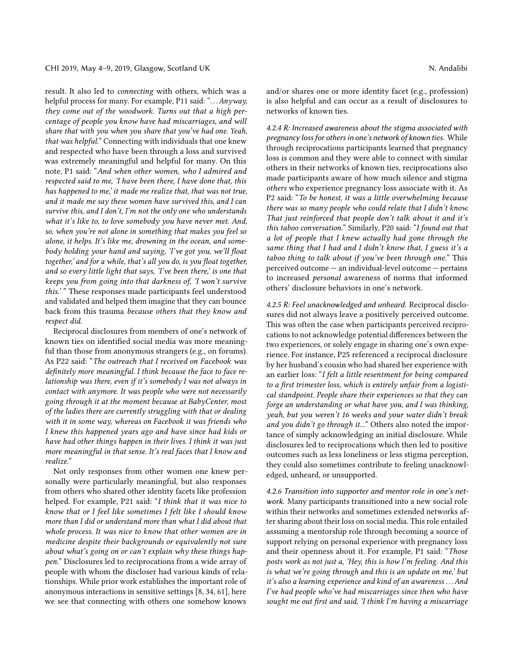result. It also led to connecting with others, which was a helpful process for many. For example, P11 said: "... Anyway, they come out of the woodwork. Turns out that a high percentage of people you know have had miscarriages, and will share that with you when you share that you've had one. Yeah, that was helpful." Connecting with individuals that one knew and respected who have been through a loss and survived was extremely meaningful and helpful for many. On this note, P1 said: "And when other women, who I admired and respected said to me, 'I have been there, I have done that, this has happened to me,' it made me realize that, that was not true, and it made me say these women have survived this, and I can survive this, and I don't, I'm not the only one who understands what it's like to, to love somebody you have never met. And, so, when you're not alone in something that makes you feel so alone, it helps. It's like me, drowning in the ocean, and somebody holding your hand and saying, 'I've got you, we'll float together,' and for a while, that's all you do, is you float together, and so every little light that says, 'I've been there,' is one that keeps you from going into that darkness of, 'I won't survive this.' " These responses made participants feel understood and validated and helped them imagine that they can bounce back from this trauma because others that they know and respect did.

Reciprocal disclosures from members of one's network of known ties on identified social media was more meaningful than those from anonymous strangers (e.g., on forums). As P22 said: "The outreach that I received on Facebook was definitely more meaningful. I think because the face to face relationship was there, even if it's somebody I was not always in contact with anymore. It was people who were not necessarily going through it at the moment because at BabyCenter, most of the ladies there are currently struggling with that or dealing with it in some way, whereas on Facebook it was friends who I knew this happened years ago and have since had kids or have had other things happen in their lives. I think it was just more meaningful in that sense. It's real faces that I know and realize."

Not only responses from other women one knew personally were particularly meaningful, but also responses from others who shared other identity facets like profession helped. For example, P21 said: "I think that it was nice to know that or I feel like sometimes I felt like I should know more than I did or understand more than what I did about that whole process. It was nice to know that other women are in medicine despite their backgrounds or equivalently not sure about what's going on or can't explain why these things happen." Disclosures led to reciprocations from a wide array of people with whom the discloser had various kinds of relationships. While prior work establishes the important role of anonymous interactions in sensitive settings [\[8,](#page-12-0) [34,](#page-12-6) [61\]](#page-13-30), here we see that connecting with others one somehow knows

and/or shares one or more identity facet (e.g., profession) is also helpful and can occur as a result of disclosures to networks of known ties.

4.2.4 R: Increased awareness about the stigma associated with pregnancy loss for others in one's network of known ties. While through reciprocations participants learned that pregnancy loss is common and they were able to connect with similar others in their networks of known ties, reciprocations also made participants aware of how much silence and stigma others who experience pregnancy loss associate with it. As P2 said: "To be honest, it was a little overwhelming because there was so many people who could relate that I didn't know. That just reinforced that people don't talk about it and it's this taboo conversation." Similarly, P20 said: "I found out that a lot of people that I knew actually had gone through the same thing that I had and I didn't know that, I guess it's a taboo thing to talk about if you've been through one." This perceived outcome — an individual-level outcome — pertains to increased personal awareness of norms that informed others' disclosure behaviors in one's network.

4.2.5 R: Feel unacknowledged and unheard. Reciprocal disclosures did not always leave a positively perceived outcome. This was often the case when participants perceived reciprocations to not acknowledge potential differences between the two experiences, or solely engage in sharing one's own experience. For instance, P25 referenced a reciprocal disclosure by her husband's cousin who had shared her experience with an earlier loss: "I felt a little resentment for being compared to a first trimester loss, which is entirely unfair from a logistical standpoint. People share their experiences so that they can forge an understanding or what have you, and I was thinking, yeah, but you weren't 16 weeks and your water didn't break and you didn't go through it..." Others also noted the importance of simply acknowledging an initial disclosure. While disclosures led to reciprocations which then led to positive outcomes such as less loneliness or less stigma perception, they could also sometimes contribute to feeling unacknowledged, unheard, or unsupported.

4.2.6 Transition into supporter and mentor role in one's network. Many participants transitioned into a new social role within their networks and sometimes extended networks after sharing about their loss on social media. This role entailed assuming a mentorship role through becoming a source of support relying on personal experience with pregnancy loss and their openness about it. For example, P1 said: "Those posts work as not just a, 'Hey, this is how I'm feeling. And this is what we're going through and this is an update on me,' but it's also a learning experience and kind of an awareness . . .And I've had people who've had miscarriages since then who have sought me out first and said, 'I think I'm having a miscarriage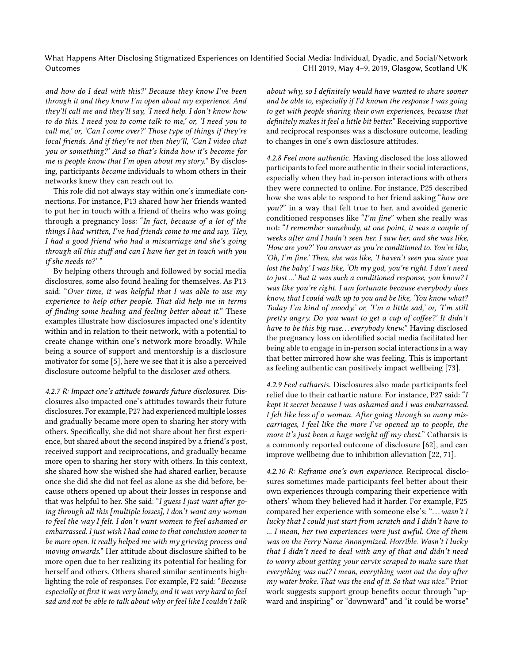and how do I deal with this?' Because they know I've been through it and they know I'm open about my experience. And they'll call me and they'll say, 'I need help. I don't know how to do this. I need you to come talk to me,' or, 'I need you to call me,' or, 'Can I come over?' Those type of things if they're local friends. And if they're not then they'll, 'Can I video chat you or something?' And so that's kinda how it's become for me is people know that I'm open about my story." By disclosing, participants became individuals to whom others in their networks knew they can reach out to.

This role did not always stay within one's immediate connections. For instance, P13 shared how her friends wanted to put her in touch with a friend of theirs who was going through a pregnancy loss: "In fact, because of a lot of the things I had written, I've had friends come to me and say, 'Hey, I had a good friend who had a miscarriage and she's going through all this stuff and can I have her get in touch with you if she needs to?' "

By helping others through and followed by social media disclosures, some also found healing for themselves. As P13 said: "Over time, it was helpful that I was able to use  $m\gamma$ experience to help other people. That did help me in terms of finding some healing and feeling better about it." These examples illustrate how disclosures impacted one's identity within and in relation to their network, with a potential to create change within one's network more broadly. While being a source of support and mentorship is a disclosure motivator for some [\[5\]](#page-12-7), here we see that it is also a perceived disclosure outcome helpful to the discloser and others.

4.2.7 R: Impact one's attitude towards future disclosures. Disclosures also impacted one's attitudes towards their future disclosures. For example, P27 had experienced multiple losses and gradually became more open to sharing her story with others. Specifically, she did not share about her first experience, but shared about the second inspired by a friend's post, received support and reciprocations, and gradually became more open to sharing her story with others. In this context, she shared how she wished she had shared earlier, because once she did she did not feel as alone as she did before, because others opened up about their losses in response and that was helpful to her. She said: "I guess I just want after going through all this [multiple losses], I don't want any woman to feel the way I felt. I don't want women to feel ashamed or embarrassed. I just wish I had come to that conclusion sooner to be more open. It really helped me with my grieving process and moving onwards." Her attitude about disclosure shifted to be more open due to her realizing its potential for healing for herself and others. Others shared similar sentiments highlighting the role of responses. For example, P2 said: "Because especially at first it was very lonely, and it was very hard to feel sad and not be able to talk about why or feel like I couldn't talk

about why, so I definitely would have wanted to share sooner and be able to, especially if I'd known the response I was going to get with people sharing their own experiences, because that definitely makes it feel a little bit better." Receiving supportive and reciprocal responses was a disclosure outcome, leading to changes in one's own disclosure attitudes.

4.2.8 Feel more authentic. Having disclosed the loss allowed participants to feel more authentic in their social interactions, especially when they had in-person interactions with others they were connected to online. For instance, P25 described how she was able to respond to her friend asking "how are you?" in a way that felt true to her, and avoided generic conditioned responses like "I'm fine" when she really was not: "I remember somebody, at one point, it was a couple of weeks after and I hadn't seen her. I saw her, and she was like, 'How are you?' You answer as you're conditioned to. You're like, 'Oh, I'm fine.' Then, she was like, 'I haven't seen you since you lost the baby.' I was like, 'Oh my god, you're right. I don't need to just ...' But it was such a conditioned response, you know? I was like you're right. I am fortunate because everybody does know, that I could walk up to you and be like, 'You know what? Today I'm kind of moody,' or, 'I'm a little sad,' or, 'I'm still pretty angry. Do you want to get a cup of coffee?' It didn't have to be this big ruse... everybody knew." Having disclosed the pregnancy loss on identified social media facilitated her being able to engage in in-person social interactions in a way that better mirrored how she was feeling. This is important as feeling authentic can positively impact wellbeing [\[73\]](#page-14-5).

4.2.9 Feel catharsis. Disclosures also made participants feel relief due to their cathartic nature. For instance, P27 said: "I kept it secret because I was ashamed and I was embarrassed. I felt like less of a woman. After going through so many miscarriages, I feel like the more I've opened up to people, the more it's just been a huge weight off my chest." Catharsis is a commonly reported outcome of disclosure [\[62\]](#page-13-31), and can improve wellbeing due to inhibition alleviation [\[22,](#page-12-15) [71\]](#page-14-13).

4.2.10 R: Reframe one's own experience. Reciprocal disclosures sometimes made participants feel better about their own experiences through comparing their experience with others' whom they believed had it harder. For example, P25 compared her experience with someone else's: "... wasn't I lucky that I could just start from scratch and I didn't have to ... I mean, her two experiences were just awful. One of them was on the Ferry Name Anonymized. Horrible. Wasn't I lucky that I didn't need to deal with any of that and didn't need to worry about getting your cervix scraped to make sure that everything was out? I mean, everything went out the day after my water broke. That was the end of it. So that was nice." Prior work suggests support group benefits occur through "upward and inspiring" or "downward" and "it could be worse"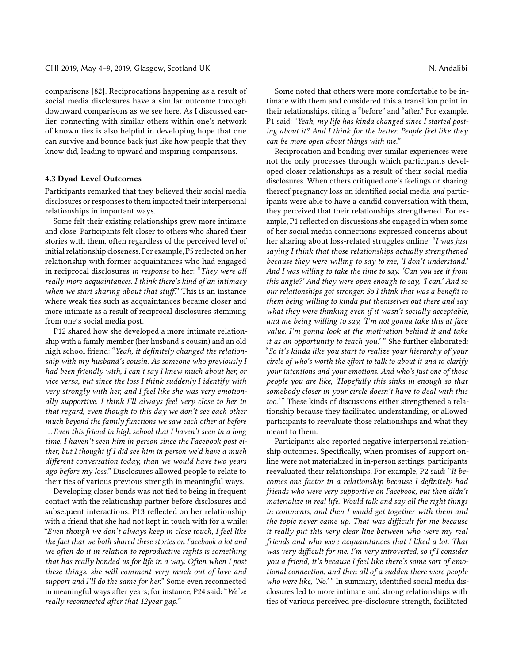comparisons [\[82\]](#page-14-20). Reciprocations happening as a result of social media disclosures have a similar outcome through downward comparisons as we see here. As I discussed earlier, connecting with similar others within one's network of known ties is also helpful in developing hope that one can survive and bounce back just like how people that they know did, leading to upward and inspiring comparisons.

#### 4.3 Dyad-Level Outcomes

Participants remarked that they believed their social media disclosures or responses to them impacted their interpersonal relationships in important ways.

Some felt their existing relationships grew more intimate and close. Participants felt closer to others who shared their stories with them, often regardless of the perceived level of initial relationship closeness. For example, P5 reflected on her relationship with former acquaintances who had engaged in reciprocal disclosures in response to her: "They were all really more acquaintances. I think there's kind of an intimacy when we start sharing about that stuff." This is an instance where weak ties such as acquaintances became closer and more intimate as a result of reciprocal disclosures stemming from one's social media post.

P12 shared how she developed a more intimate relationship with a family member (her husband's cousin) and an old high school friend: "Yeah, it definitely changed the relationship with my husband's cousin. As someone who previously I had been friendly with, I can't say I knew much about her, or vice versa, but since the loss I think suddenly I identify with very strongly with her, and I feel like she was very emotionally supportive. I think I'll always feel very close to her in that regard, even though to this day we don't see each other much beyond the family functions we saw each other at before . . . Even this friend in high school that I haven't seen in a long time. I haven't seen him in person since the Facebook post either, but I thought if I did see him in person we'd have a much different conversation today, than we would have two years ago before my loss." Disclosures allowed people to relate to their ties of various previous strength in meaningful ways.

Developing closer bonds was not tied to being in frequent contact with the relationship partner before disclosures and subsequent interactions. P13 reflected on her relationship with a friend that she had not kept in touch with for a while: "Even though we don't always keep in close touch, I feel like the fact that we both shared these stories on Facebook a lot and we often do it in relation to reproductive rights is something that has really bonded us for life in a way. Often when I post these things, she will comment very much out of love and support and I'll do the same for her." Some even reconnected in meaningful ways after years; for instance, P24 said: "We've really reconnected after that 12year gap."

Some noted that others were more comfortable to be intimate with them and considered this a transition point in their relationships, citing a "before" and "after." For example, P1 said: "Yeah, my life has kinda changed since I started posting about it? And I think for the better. People feel like they can be more open about things with me."

Reciprocation and bonding over similar experiences were not the only processes through which participants developed closer relationships as a result of their social media disclosures. When others critiqued one's feelings or sharing thereof pregnancy loss on identified social media and participants were able to have a candid conversation with them, they perceived that their relationships strengthened. For example, P1 reflected on discussions she engaged in when some of her social media connections expressed concerns about her sharing about loss-related struggles online: "I was just saying I think that those relationships actually strengthened because they were willing to say to me, 'I don't understand.' And I was willing to take the time to say, 'Can you see it from this angle?' And they were open enough to say, 'I can.' And so our relationships got stronger. So I think that was a benefit to them being willing to kinda put themselves out there and say what they were thinking even if it wasn't socially acceptable, and me being willing to say, 'I'm not gonna take this at face value. I'm gonna look at the motivation behind it and take it as an opportunity to teach you.'" She further elaborated: "So it's kinda like you start to realize your hierarchy of your circle of who's worth the effort to talk to about it and to clarify your intentions and your emotions. And who's just one of those people you are like, 'Hopefully this sinks in enough so that somebody closer in your circle doesn't have to deal with this too.' " These kinds of discussions either strengthened a relationship because they facilitated understanding, or allowed participants to reevaluate those relationships and what they meant to them.

Participants also reported negative interpersonal relationship outcomes. Specifically, when promises of support online were not materialized in in-person settings, participants reevaluated their relationships. For example, P2 said: "It becomes one factor in a relationship because I definitely had friends who were very supportive on Facebook, but then didn't materialize in real life. Would talk and say all the right things in comments, and then I would get together with them and the topic never came up. That was difficult for me because it really put this very clear line between who were my real friends and who were acquaintances that I liked a lot. That was very difficult for me. I'm very introverted, so if I consider you a friend, it's because I feel like there's some sort of emotional connection, and then all of a sudden there were people who were like, 'No.'" In summary, identified social media disclosures led to more intimate and strong relationships with ties of various perceived pre-disclosure strength, facilitated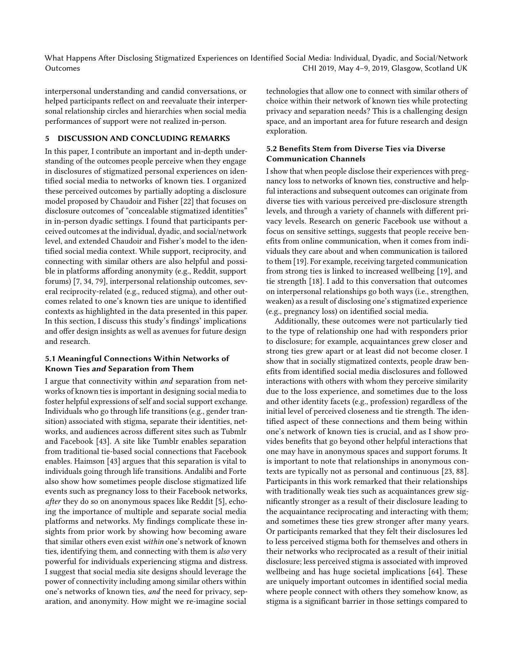interpersonal understanding and candid conversations, or helped participants reflect on and reevaluate their interpersonal relationship circles and hierarchies when social media performances of support were not realized in-person.

# 5 DISCUSSION AND CONCLUDING REMARKS

In this paper, I contribute an important and in-depth understanding of the outcomes people perceive when they engage in disclosures of stigmatized personal experiences on identified social media to networks of known ties. I organized these perceived outcomes by partially adopting a disclosure model proposed by Chaudoir and Fisher [\[22\]](#page-12-15) that focuses on disclosure outcomes of "concealable stigmatized identities" in in-person dyadic settings. I found that participants perceived outcomes at the individual, dyadic, and social/network level, and extended Chaudoir and Fisher's model to the identified social media context. While support, reciprocity, and connecting with similar others are also helpful and possible in platforms affording anonymity (e.g., Reddit, support forums) [\[7,](#page-12-4) [34,](#page-12-6) [79\]](#page-14-2), interpersonal relationship outcomes, several reciprocity-related (e.g., reduced stigma), and other outcomes related to one's known ties are unique to identified contexts as highlighted in the data presented in this paper. In this section, I discuss this study's findings' implications and offer design insights as well as avenues for future design and research.

# 5.1 Meaningful Connections Within Networks of Known Ties and Separation from Them

I argue that connectivity within and separation from networks of known ties is important in designing social media to foster helpful expressions of self and social support exchange. Individuals who go through life transitions (e.g., gender transition) associated with stigma, separate their identities, networks, and audiences across different sites such as Tubmlr and Facebook [\[43\]](#page-13-0). A site like Tumblr enables separation from traditional tie-based social connections that Facebook enables. Haimson [\[43\]](#page-13-0) argues that this separation is vital to individuals going through life transitions. Andalibi and Forte also show how sometimes people disclose stigmatized life events such as pregnancy loss to their Facebook networks, after they do so on anonymous spaces like Reddit [\[5\]](#page-12-7), echoing the importance of multiple and separate social media platforms and networks. My findings complicate these insights from prior work by showing how becoming aware that similar others even exist within one's network of known ties, identifying them, and connecting with them is also very powerful for individuals experiencing stigma and distress. I suggest that social media site designs should leverage the power of connectivity including among similar others within one's networks of known ties, and the need for privacy, separation, and anonymity. How might we re-imagine social

technologies that allow one to connect with similar others of choice within their network of known ties while protecting privacy and separation needs? This is a challenging design space, and an important area for future research and design exploration.

# 5.2 Benefits Stem from Diverse Ties via Diverse Communication Channels

I show that when people disclose their experiences with pregnancy loss to networks of known ties, constructive and helpful interactions and subsequent outcomes can originate from diverse ties with various perceived pre-disclosure strength levels, and through a variety of channels with different privacy levels. Research on generic Facebook use without a focus on sensitive settings, suggests that people receive benefits from online communication, when it comes from individuals they care about and when communication is tailored to them [\[19\]](#page-12-16). For example, receiving targeted communication from strong ties is linked to increased wellbeing [\[19\]](#page-12-16), and tie strength [\[18\]](#page-12-24). I add to this conversation that outcomes on interpersonal relationships go both ways (i.e., strengthen, weaken) as a result of disclosing one's stigmatized experience (e.g., pregnancy loss) on identified social media.

Additionally, these outcomes were not particularly tied to the type of relationship one had with responders prior to disclosure; for example, acquaintances grew closer and strong ties grew apart or at least did not become closer. I show that in socially stigmatized contexts, people draw benefits from identified social media disclosures and followed interactions with others with whom they perceive similarity due to the loss experience, and sometimes due to the loss and other identity facets (e.g., profession) regardless of the initial level of perceived closeness and tie strength. The identified aspect of these connections and them being within one's network of known ties is crucial, and as I show provides benefits that go beyond other helpful interactions that one may have in anonymous spaces and support forums. It is important to note that relationships in anonymous contexts are typically not as personal and continuous [\[23,](#page-12-8) [88\]](#page-14-3). Participants in this work remarked that their relationships with traditionally weak ties such as acquaintances grew significantly stronger as a result of their disclosure leading to the acquaintance reciprocating and interacting with them; and sometimes these ties grew stronger after many years. Or participants remarked that they felt their disclosures led to less perceived stigma both for themselves and others in their networks who reciprocated as a result of their initial disclosure; less perceived stigma is associated with improved wellbeing and has huge societal implications [\[64\]](#page-13-32). These are uniquely important outcomes in identified social media where people connect with others they somehow know, as stigma is a significant barrier in those settings compared to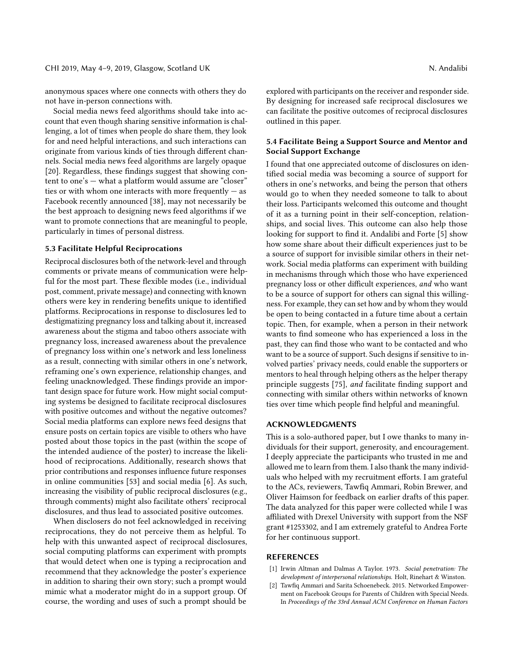anonymous spaces where one connects with others they do not have in-person connections with.

Social media news feed algorithms should take into account that even though sharing sensitive information is challenging, a lot of times when people do share them, they look for and need helpful interactions, and such interactions can originate from various kinds of ties through different channels. Social media news feed algorithms are largely opaque [\[20\]](#page-12-30). Regardless, these findings suggest that showing content to one's — what a platform would assume are "closer" ties or with whom one interacts with more frequently  $-$  as Facebook recently announced [\[38\]](#page-13-33), may not necessarily be the best approach to designing news feed algorithms if we want to promote connections that are meaningful to people, particularly in times of personal distress.

## 5.3 Facilitate Helpful Reciprocations

Reciprocal disclosures both of the network-level and through comments or private means of communication were helpful for the most part. These flexible modes (i.e., individual post, comment, private message) and connecting with known others were key in rendering benefits unique to identified platforms. Reciprocations in response to disclosures led to destigmatizing pregnancy loss and talking about it, increased awareness about the stigma and taboo others associate with pregnancy loss, increased awareness about the prevalence of pregnancy loss within one's network and less loneliness as a result, connecting with similar others in one's network, reframing one's own experience, relationship changes, and feeling unacknowledged. These findings provide an important design space for future work. How might social computing systems be designed to facilitate reciprocal disclosures with positive outcomes and without the negative outcomes? Social media platforms can explore news feed designs that ensure posts on certain topics are visible to others who have posted about those topics in the past (within the scope of the intended audience of the poster) to increase the likelihood of reciprocations. Additionally, research shows that prior contributions and responses influence future responses in online communities [\[53\]](#page-13-34) and social media [\[6\]](#page-12-31). As such, increasing the visibility of public reciprocal disclosures (e.g., through comments) might also facilitate others' reciprocal disclosures, and thus lead to associated positive outcomes.

When disclosers do not feel acknowledged in receiving reciprocations, they do not perceive them as helpful. To help with this unwanted aspect of reciprocal disclosures, social computing platforms can experiment with prompts that would detect when one is typing a reciprocation and recommend that they acknowledge the poster's experience in addition to sharing their own story; such a prompt would mimic what a moderator might do in a support group. Of course, the wording and uses of such a prompt should be

explored with participants on the receiver and responder side. By designing for increased safe reciprocal disclosures we can facilitate the positive outcomes of reciprocal disclosures outlined in this paper.

# 5.4 Facilitate Being a Support Source and Mentor and Social Support Exchange

I found that one appreciated outcome of disclosures on identified social media was becoming a source of support for others in one's networks, and being the person that others would go to when they needed someone to talk to about their loss. Participants welcomed this outcome and thought of it as a turning point in their self-conception, relationships, and social lives. This outcome can also help those looking for support to find it. Andalibi and Forte [\[5\]](#page-12-7) show how some share about their difficult experiences just to be a source of support for invisible similar others in their network. Social media platforms can experiment with building in mechanisms through which those who have experienced pregnancy loss or other difficult experiences, and who want to be a source of support for others can signal this willingness. For example, they can set how and by whom they would be open to being contacted in a future time about a certain topic. Then, for example, when a person in their network wants to find someone who has experienced a loss in the past, they can find those who want to be contacted and who want to be a source of support. Such designs if sensitive to involved parties' privacy needs, could enable the supporters or mentors to heal through helping others as the helper therapy principle suggests [\[75\]](#page-14-21), and facilitate finding support and connecting with similar others within networks of known ties over time which people find helpful and meaningful.

#### ACKNOWLEDGMENTS

This is a solo-authored paper, but I owe thanks to many individuals for their support, generosity, and encouragement. I deeply appreciate the participants who trusted in me and allowed me to learn from them. I also thank the many individuals who helped with my recruitment efforts. I am grateful to the ACs, reviewers, Tawfiq Ammari, Robin Brewer, and Oliver Haimson for feedback on earlier drafts of this paper. The data analyzed for this paper were collected while I was affiliated with Drexel University with support from the NSF grant #1253302, and I am extremely grateful to Andrea Forte for her continuous support.

## REFERENCES

- <span id="page-11-1"></span>[1] Irwin Altman and Dalmas A Taylor. 1973. Social penetration: The development of interpersonal relationships. Holt, Rinehart & Winston.
- <span id="page-11-0"></span>[2] Tawfiq Ammari and Sarita Schoenebeck. 2015. Networked Empowerment on Facebook Groups for Parents of Children with Special Needs. In Proceedings of the 33rd Annual ACM Conference on Human Factors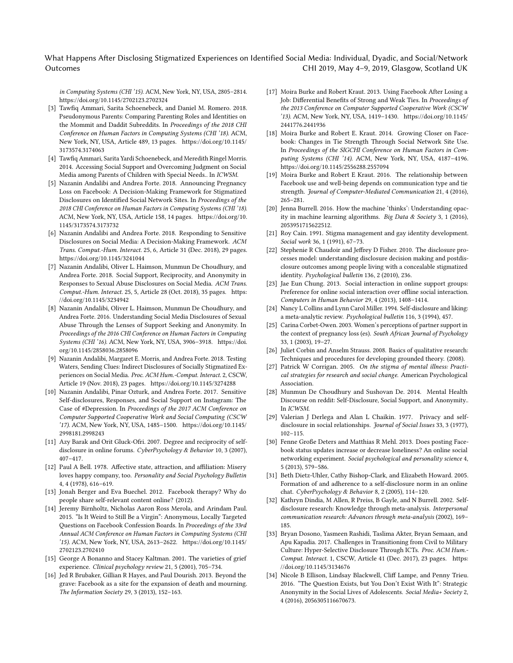in Computing Systems (CHI '15). ACM, New York, NY, USA, 2805–2814. <https://doi.org/10.1145/2702123.2702324>

- <span id="page-12-3"></span>[3] Tawfiq Ammari, Sarita Schoenebeck, and Daniel M. Romero. 2018. Pseudonymous Parents: Comparing Parenting Roles and Identities on the Mommit and Daddit Subreddits. In Proceedings of the 2018 CHI Conference on Human Factors in Computing Systems (CHI '18). ACM, New York, NY, USA, Article 489, 13 pages. [https://doi.org/10.1145/](https://doi.org/10.1145/3173574.3174063) [3173574.3174063](https://doi.org/10.1145/3173574.3174063)
- <span id="page-12-13"></span>[4] Tawfiq Ammari, Sarita Yardi Schoenebeck, and Meredith Ringel Morris. 2014. Accessing Social Support and Overcoming Judgment on Social Media among Parents of Children with Special Needs.. In ICWSM.
- <span id="page-12-7"></span>[5] Nazanin Andalibi and Andrea Forte. 2018. Announcing Pregnancy Loss on Facebook: A Decision-Making Framework for Stigmatized Disclosures on Identified Social Network Sites. In Proceedings of the 2018 CHI Conference on Human Factors in Computing Systems (CHI '18). ACM, New York, NY, USA, Article 158, 14 pages. [https://doi.org/10.](https://doi.org/10.1145/3173574.3173732) [1145/3173574.3173732](https://doi.org/10.1145/3173574.3173732)
- <span id="page-12-31"></span>[6] Nazanin Andalibi and Andrea Forte. 2018. Responding to Sensitive Disclosures on Social Media: A Decision-Making Framework. ACM Trans. Comput.-Hum. Interact. 25, 6, Article 31 (Dec. 2018), 29 pages. <https://doi.org/10.1145/3241044>
- <span id="page-12-4"></span>[7] Nazanin Andalibi, Oliver L. Haimson, Munmun De Choudhury, and Andrea Forte. 2018. Social Support, Reciprocity, and Anonymity in Responses to Sexual Abuse Disclosures on Social Media. ACM Trans. Comput.-Hum. Interact. 25, 5, Article 28 (Oct. 2018), 35 pages. [https:](https://doi.org/10.1145/3234942) [//doi.org/10.1145/3234942](https://doi.org/10.1145/3234942)
- <span id="page-12-0"></span>[8] Nazanin Andalibi, Oliver L. Haimson, Munmun De Choudhury, and Andrea Forte. 2016. Understanding Social Media Disclosures of Sexual Abuse Through the Lenses of Support Seeking and Anonymity. In Proceedings of the 2016 CHI Conference on Human Factors in Computing Systems (CHI '16). ACM, New York, NY, USA, 3906–3918. [https://doi.](https://doi.org/10.1145/2858036.2858096) [org/10.1145/2858036.2858096](https://doi.org/10.1145/2858036.2858096)
- <span id="page-12-10"></span>[9] Nazanin Andalibi, Margaret E. Morris, and Andrea Forte. 2018. Testing Waters, Sending Clues: Indirect Disclosures of Socially Stigmatized Experiences on Social Media. Proc. ACM Hum.-Comput. Interact. 2, CSCW, Article 19 (Nov. 2018), 23 pages.<https://doi.org/10.1145/3274288>
- <span id="page-12-1"></span>[10] Nazanin Andalibi, Pinar Ozturk, and Andrea Forte. 2017. Sensitive Self-disclosures, Responses, and Social Support on Instagram: The Case of #Depression. In Proceedings of the 2017 ACM Conference on Computer Supported Cooperative Work and Social Computing (CSCW '17). ACM, New York, NY, USA, 1485–1500. [https://doi.org/10.1145/](https://doi.org/10.1145/2998181.2998243) [2998181.2998243](https://doi.org/10.1145/2998181.2998243)
- <span id="page-12-28"></span>[11] Azy Barak and Orit Gluck-Ofri. 2007. Degree and reciprocity of selfdisclosure in online forums. CyberPsychology & Behavior 10, 3 (2007), 407–417.
- <span id="page-12-19"></span>[12] Paul A Bell. 1978. Affective state, attraction, and affiliation: Misery loves happy company, too. Personality and Social Psychology Bulletin 4, 4 (1978), 616–619.
- <span id="page-12-25"></span>[13] Jonah Berger and Eva Buechel. 2012. Facebook therapy? Why do people share self-relevant content online? (2012).
- <span id="page-12-5"></span>[14] Jeremy Birnholtz, Nicholas Aaron Ross Merola, and Arindam Paul. 2015. "Is It Weird to Still Be a Virgin": Anonymous, Locally Targeted Questions on Facebook Confession Boards. In Proceedings of the 33rd Annual ACM Conference on Human Factors in Computing Systems (CHI '15). ACM, New York, NY, USA, 2613–2622. [https://doi.org/10.1145/](https://doi.org/10.1145/2702123.2702410) [2702123.2702410](https://doi.org/10.1145/2702123.2702410)
- <span id="page-12-14"></span>[15] George A Bonanno and Stacey Kaltman. 2001. The varieties of grief experience. Clinical psychology review 21, 5 (2001), 705–734.
- <span id="page-12-9"></span>[16] Jed R Brubaker, Gillian R Hayes, and Paul Dourish. 2013. Beyond the grave: Facebook as a site for the expansion of death and mourning. The Information Society 29, 3 (2013), 152–163.
- <span id="page-12-23"></span>[17] Moira Burke and Robert Kraut. 2013. Using Facebook After Losing a Job: Differential Benefits of Strong and Weak Ties. In Proceedings of the 2013 Conference on Computer Supported Cooperative Work (CSCW '13). ACM, New York, NY, USA, 1419–1430. [https://doi.org/10.1145/](https://doi.org/10.1145/2441776.2441936) [2441776.2441936](https://doi.org/10.1145/2441776.2441936)
- <span id="page-12-24"></span>[18] Moira Burke and Robert E. Kraut. 2014. Growing Closer on Facebook: Changes in Tie Strength Through Social Network Site Use. In Proceedings of the SIGCHI Conference on Human Factors in Computing Systems (CHI '14). ACM, New York, NY, USA, 4187–4196. <https://doi.org/10.1145/2556288.2557094>
- <span id="page-12-16"></span>[19] Moira Burke and Robert E Kraut. 2016. The relationship between Facebook use and well-being depends on communication type and tie strength. Journal of Computer-Mediated Communication 21, 4 (2016), 265–281.
- <span id="page-12-30"></span>[20] Jenna Burrell. 2016. How the machine 'thinks': Understanding opacity in machine learning algorithms. Big Data & Society 3, 1 (2016), 2053951715622512.
- <span id="page-12-11"></span>[21] Roy Cain. 1991. Stigma management and gay identity development. Social work 36, 1 (1991), 67–73.
- <span id="page-12-15"></span>[22] Stephenie R Chaudoir and Jeffrey D Fisher. 2010. The disclosure processes model: understanding disclosure decision making and postdisclosure outcomes among people living with a concealable stigmatized identity. Psychological bulletin 136, 2 (2010), 236.
- <span id="page-12-8"></span>[23] Jae Eun Chung. 2013. Social interaction in online support groups: Preference for online social interaction over offline social interaction. Computers in Human Behavior 29, 4 (2013), 1408–1414.
- <span id="page-12-21"></span>[24] Nancy L Collins and Lynn Carol Miller. 1994. Self-disclosure and liking: a meta-analytic review. Psychological bulletin 116, 3 (1994), 457.
- <span id="page-12-17"></span>[25] Carina Corbet-Owen. 2003. Women's perceptions of partner support in the context of pregnancy loss (es). South African Journal of Psychology 33, 1 (2003), 19–27.
- <span id="page-12-29"></span>[26] Juliet Corbin and Anselm Strauss. 2008. Basics of qualitative research: Techniques and procedures for developing grounded theory. (2008).
- <span id="page-12-18"></span>[27] Patrick W Corrigan. 2005. On the stigma of mental illness: Practical strategies for research and social change. American Psychological Association.
- <span id="page-12-2"></span>[28] Munmun De Choudhury and Sushovan De. 2014. Mental Health Discourse on reddit: Self-Disclosure, Social Support, and Anonymity.. In ICWSM.
- <span id="page-12-22"></span>[29] Valerian J Derlega and Alan L Chaikin. 1977. Privacy and selfdisclosure in social relationships. Journal of Social Issues 33, 3 (1977), 102–115.
- <span id="page-12-26"></span>[30] Fenne Große Deters and Matthias R Mehl. 2013. Does posting Facebook status updates increase or decrease loneliness? An online social networking experiment. Social psychological and personality science 4, 5 (2013), 579–586.
- <span id="page-12-27"></span>[31] Beth Dietz-Uhler, Cathy Bishop-Clark, and Elizabeth Howard. 2005. Formation of and adherence to a self-disclosure norm in an online chat. CyberPsychology & Behavior 8, 2 (2005), 114–120.
- <span id="page-12-20"></span>[32] Kathryn Dindia, M Allen, R Preiss, B Gayle, and N Burrell. 2002. Selfdisclosure research: Knowledge through meta-analysis. Interpersonal communication research: Advances through meta-analysis (2002), 169– 185.
- <span id="page-12-12"></span>[33] Bryan Dosono, Yasmeen Rashidi, Taslima Akter, Bryan Semaan, and Apu Kapadia. 2017. Challenges in Transitioning from Civil to Military Culture: Hyper-Selective Disclosure Through ICTs. Proc. ACM Hum.- Comput. Interact. 1, CSCW, Article 41 (Dec. 2017), 23 pages. [https:](https://doi.org/10.1145/3134676) [//doi.org/10.1145/3134676](https://doi.org/10.1145/3134676)
- <span id="page-12-6"></span>[34] Nicole B Ellison, Lindsay Blackwell, Cliff Lampe, and Penny Trieu. 2016. "The Question Exists, but You Don't Exist With It": Strategic Anonymity in the Social Lives of Adolescents. Social Media+ Society 2, 4 (2016), 2056305116670673.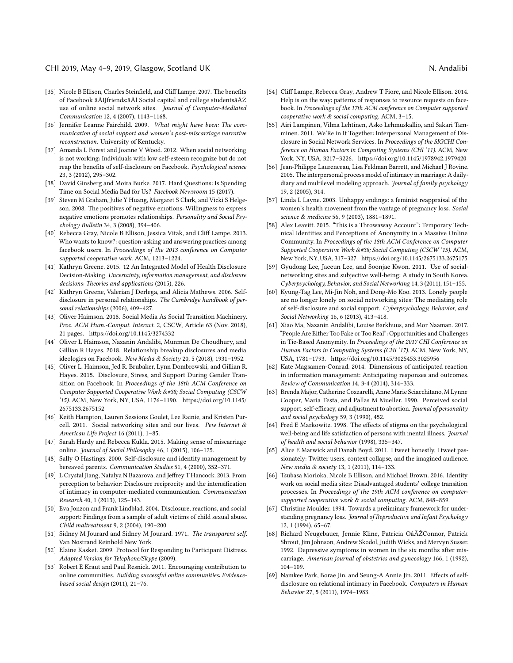#### CHI 2019, May 4–9, 2019, Glasgow, Scotland UK N. Andalibi

- <span id="page-13-16"></span>[35] Nicole B Ellison, Charles Steinfield, and Cliff Lampe. 2007. The benefits of Facebook âĂIJfriends:âĂİ Social capital and college studentsâĂŹ use of online social network sites. Journal of Computer-Mediated Communication 12, 4 (2007), 1143–1168.
- <span id="page-13-8"></span>[36] Jennifer Leanne Fairchild. 2009. What might have been: The communication of social support and women's post-miscarriage narrative reconstruction. University of Kentucky.
- <span id="page-13-22"></span>[37] Amanda L Forest and Joanne V Wood. 2012. When social networking is not working: Individuals with low self-esteem recognize but do not reap the benefits of self-disclosure on Facebook. Psychological science 23, 3 (2012), 295–302.
- <span id="page-13-33"></span>[38] David Ginsberg and Moira Burke. 2017. Hard Questions: Is Spending Time on Social Media Bad for Us? Facebook Newsroom 15 (2017).
- <span id="page-13-14"></span>[39] Steven M Graham, Julie Y Huang, Margaret S Clark, and Vicki S Helgeson. 2008. The positives of negative emotions: Willingness to express negative emotions promotes relationships. Personality and Social Psychology Bulletin 34, 3 (2008), 394–406.
- <span id="page-13-17"></span>[40] Rebecca Gray, Nicole B Ellison, Jessica Vitak, and Cliff Lampe. 2013. Who wants to know?: question-asking and answering practices among facebook users. In Proceedings of the 2013 conference on Computer supported cooperative work. ACM, 1213–1224.
- <span id="page-13-11"></span>[41] Kathryn Greene. 2015. 12 An Integrated Model of Health Disclosure Decision-Making. Uncertainty, information management, and disclosure decisions: Theories and applications (2015), 226.
- <span id="page-13-12"></span>[42] Kathryn Greene, Valerian J Derlega, and Alicia Mathews. 2006. Selfdisclosure in personal relationships. The Cambridge handbook of personal relationships (2006), 409–427.
- <span id="page-13-0"></span>[43] Oliver Haimson. 2018. Social Media As Social Transition Machinery. Proc. ACM Hum.-Comput. Interact. 2, CSCW, Article 63 (Nov. 2018), 21 pages.<https://doi.org/10.1145/3274332>
- <span id="page-13-2"></span>[44] Oliver L Haimson, Nazanin Andalibi, Munmun De Choudhury, and Gillian R Hayes. 2018. Relationship breakup disclosures and media ideologies on Facebook. New Media & Society 20, 5 (2018), 1931-1952.
- <span id="page-13-5"></span>[45] Oliver L. Haimson, Jed R. Brubaker, Lynn Dombrowski, and Gillian R. Hayes. 2015. Disclosure, Stress, and Support During Gender Transition on Facebook. In Proceedings of the 18th ACM Conference on Computer Supported Cooperative Work & Social Computing (CSCW '15). ACM, New York, NY, USA, 1176–1190. [https://doi.org/10.1145/](https://doi.org/10.1145/2675133.2675152) [2675133.2675152](https://doi.org/10.1145/2675133.2675152)
- <span id="page-13-1"></span>[46] Keith Hampton, Lauren Sessions Goulet, Lee Rainie, and Kristen Purcell. 2011. Social networking sites and our lives. Pew Internet & American Life Project 16 (2011), 1–85.
- <span id="page-13-7"></span>[47] Sarah Hardy and Rebecca Kukla. 2015. Making sense of miscarriage online. Journal of Social Philosophy 46, 1 (2015), 106–125.
- <span id="page-13-3"></span>[48] Sally O Hastings. 2000. Self-disclosure and identity management by bereaved parents. Communication Studies 51, 4 (2000), 352–371.
- <span id="page-13-24"></span>[49] L Crystal Jiang, Natalya N Bazarova, and Jeffrey T Hancock. 2013. From perception to behavior: Disclosure reciprocity and the intensification of intimacy in computer-mediated communication. Communication Research 40, 1 (2013), 125–143.
- <span id="page-13-13"></span>[50] Eva Jonzon and Frank Lindblad. 2004. Disclosure, reactions, and social support: Findings from a sample of adult victims of child sexual abuse. Child maltreatment 9, 2 (2004), 190–200.
- <span id="page-13-15"></span>[51] Sidney M Jourard and Sidney M Jourard. 1971. The transparent self. Van Nostrand Reinhold New York.
- <span id="page-13-28"></span>[52] Elaine Kasket. 2009. Protocol for Responding to Participant Distress. Adapted Version for Telephone/Skype (2009).
- <span id="page-13-34"></span>[53] Robert E Kraut and Paul Resnick. 2011. Encouraging contribution to online communities. Building successful online communities: Evidencebased social design (2011), 21–76.
- <span id="page-13-18"></span>[54] Cliff Lampe, Rebecca Gray, Andrew T Fiore, and Nicole Ellison. 2014. Help is on the way: patterns of responses to resource requests on facebook. In Proceedings of the 17th ACM conference on Computer supported cooperative work & social computing. ACM, 3–15.
- <span id="page-13-4"></span>[55] Airi Lampinen, Vilma Lehtinen, Asko Lehmuskallio, and Sakari Tamminen. 2011. We'Re in It Together: Interpersonal Management of Disclosure in Social Network Services. In Proceedings of the SIGCHI Conference on Human Factors in Computing Systems (CHI '11). ACM, New York, NY, USA, 3217–3226.<https://doi.org/10.1145/1978942.1979420>
- <span id="page-13-10"></span>[56] Jean-Philippe Laurenceau, Lisa Feldman Barrett, and Michael J Rovine. 2005. The interpersonal process model of intimacy in marriage: A dailydiary and multilevel modeling approach. Journal of family psychology 19, 2 (2005), 314.
- <span id="page-13-6"></span>[57] Linda L Layne. 2003. Unhappy endings: a feminist reappraisal of the women's health movement from the vantage of pregnancy loss. Social science & medicine 56, 9 (2003), 1881–1891.
- <span id="page-13-25"></span>[58] Alex Leavitt. 2015. "This is a Throwaway Account": Temporary Technical Identities and Perceptions of Anonymity in a Massive Online Community. In Proceedings of the 18th ACM Conference on Computer Supported Cooperative Work & Social Computing (CSCW '15). ACM, New York, NY, USA, 317–327.<https://doi.org/10.1145/2675133.2675175>
- <span id="page-13-20"></span>[59] Gyudong Lee, Jaeeun Lee, and Soonjae Kwon. 2011. Use of socialnetworking sites and subjective well-being: A study in South Korea. Cyberpsychology, Behavior, and Social Networking 14, 3 (2011), 151–155.
- <span id="page-13-23"></span>[60] Kyung-Tag Lee, Mi-Jin Noh, and Dong-Mo Koo. 2013. Lonely people are no longer lonely on social networking sites: The mediating role of self-disclosure and social support. Cyberpsychology, Behavior, and Social Networking 16, 6 (2013), 413–418.
- <span id="page-13-30"></span>[61] Xiao Ma, Nazanin Andalibi, Louise Barkhuus, and Mor Naaman. 2017. "People Are Either Too Fake or Too Real": Opportunities and Challenges in Tie-Based Anonymity. In Proceedings of the 2017 CHI Conference on Human Factors in Computing Systems (CHI '17). ACM, New York, NY, USA, 1781–1793.<https://doi.org/10.1145/3025453.3025956>
- <span id="page-13-31"></span>[62] Kate Magsamen-Conrad. 2014. Dimensions of anticipated reaction in information management: Anticipating responses and outcomes. Review of Communication 14, 3-4 (2014), 314–333.
- <span id="page-13-9"></span>[63] Brenda Major, Catherine Cozzarelli, Anne Marie Sciacchitano, M Lynne Cooper, Maria Testa, and Pallas M Mueller. 1990. Perceived social support, self-efficacy, and adjustment to abortion. Journal of personality and social psychology 59, 3 (1990), 452.
- <span id="page-13-32"></span>[64] Fred E Markowitz. 1998. The effects of stigma on the psychological well-being and life satisfaction of persons with mental illness. Journal of health and social behavior (1998), 335–347.
- <span id="page-13-29"></span>[65] Alice E Marwick and Danah Boyd. 2011. I tweet honestly, I tweet passionately: Twitter users, context collapse, and the imagined audience. New media & society 13, 1 (2011), 114–133.
- <span id="page-13-21"></span>[66] Tsubasa Morioka, Nicole B Ellison, and Michael Brown. 2016. Identity work on social media sites: Disadvantaged students' college transition processes. In Proceedings of the 19th ACM conference on computersupported cooperative work & social computing. ACM, 848–859.
- <span id="page-13-26"></span>[67] Christine Moulder. 1994. Towards a preliminary framework for understanding pregnancy loss. Journal of Reproductive and Infant Psychology 12, 1 (1994), 65–67.
- <span id="page-13-27"></span>[68] Richard Neugebauer, Jennie Kline, Patricia OâĂŹConnor, Patrick Shrout, Jim Johnson, Andrew Skodol, Judith Wicks, and Mervyn Susser. 1992. Depressive symptoms in women in the six months after miscarriage. American journal of obstetrics and gynecology 166, 1 (1992), 104–109.
- <span id="page-13-19"></span>[69] Namkee Park, Borae Jin, and Seung-A Annie Jin. 2011. Effects of selfdisclosure on relational intimacy in Facebook. Computers in Human Behavior 27, 5 (2011), 1974–1983.